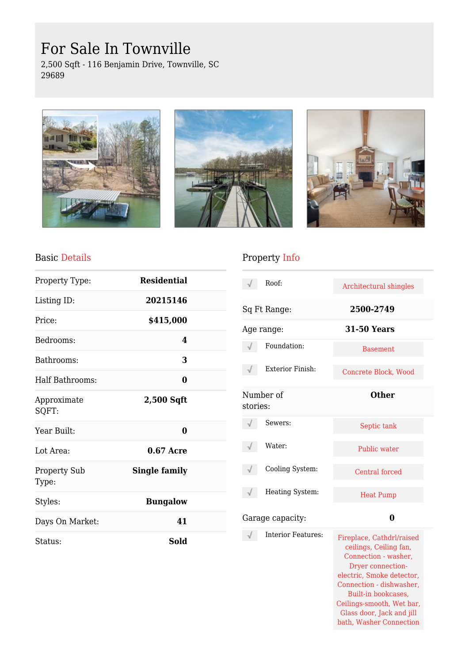# For Sale In Townville

2,500 Sqft - 116 Benjamin Drive, Townville, SC 29689







#### Basic Details

| Property Type:               | <b>Residential</b>   |  |
|------------------------------|----------------------|--|
| Listing ID:                  | 20215146             |  |
| Price:                       | \$415,000            |  |
| Bedrooms:                    | 4                    |  |
| Bathrooms:                   | 3                    |  |
| Half Bathrooms:              | 0                    |  |
| Approximate<br>SQFT:         | 2,500 Sqft           |  |
| Year Built:                  | 0                    |  |
| Lot Area:                    | $0.67$ Acre          |  |
| <b>Property Sub</b><br>Type: | <b>Single family</b> |  |
| Styles:                      | <b>Bungalow</b>      |  |
| Days On Market:              | 41                   |  |
| Status:                      | <b>Sold</b>          |  |

## Property Info

|          | Roof:              | Architectural shingles                              |
|----------|--------------------|-----------------------------------------------------|
|          | Sq Ft Range:       | 2500-2749                                           |
|          | Age range:         | <b>31-50 Years</b>                                  |
|          | Foundation:        | <b>Basement</b>                                     |
|          | Exterior Finish:   | Concrete Block, Wood                                |
| stories: | Number of          | <b>Other</b>                                        |
|          | Sewers:            | Septic tank                                         |
|          | Water:             | Public water                                        |
|          | Cooling System:    | Central forced                                      |
|          | Heating System:    | <b>Heat Pump</b>                                    |
|          | Garage capacity:   | 0                                                   |
|          | Interior Features: | Fireplace, Cathdrl/raised<br>ceilings, Ceiling fan, |

| ui vo. | Fireplace, Cathdrl/raised |
|--------|---------------------------|
|        | ceilings, Ceiling fan,    |
|        | Connection - washer,      |
|        | Dryer connection-         |
|        | electric, Smoke detector, |
|        | Connection - dishwasher,  |
|        | Built-in bookcases,       |
|        | Ceilings-smooth, Wet bar, |
|        | Glass door, Jack and jill |
|        | bath, Washer Connection   |
|        |                           |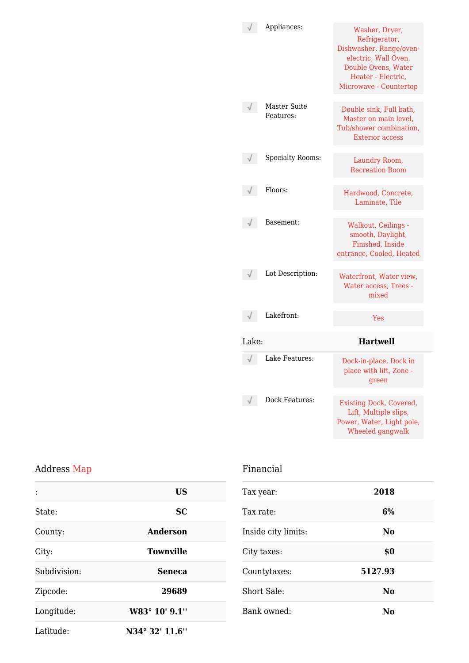|       | Appliances:                      | Washer, Dryer,<br>Refrigerator,<br>Dishwasher, Range/oven-<br>electric, Wall Oven,<br>Double Ovens, Water<br>Heater - Electric,<br>Microwave - Countertop |
|-------|----------------------------------|-----------------------------------------------------------------------------------------------------------------------------------------------------------|
|       | <b>Master Suite</b><br>Features: | Double sink, Full bath,<br>Master on main level,<br>Tub/shower combination,<br><b>Exterior access</b>                                                     |
|       | <b>Specialty Rooms:</b>          | Laundry Room,<br><b>Recreation Room</b>                                                                                                                   |
|       | Floors:                          | Hardwood, Concrete,<br>Laminate, Tile                                                                                                                     |
|       | Basement:                        | Walkout, Ceilings -<br>smooth, Daylight,<br>Finished, Inside<br>entrance, Cooled, Heated                                                                  |
|       | Lot Description:                 | Waterfront, Water view,<br>Water access, Trees -<br>mixed                                                                                                 |
|       | Lakefront:                       | <b>Yes</b>                                                                                                                                                |
| Lake: |                                  | <b>Hartwell</b>                                                                                                                                           |
|       | Lake Features:                   | Dock-in-place, Dock in<br>place with lift, Zone<br>green                                                                                                  |
|       | Dock Features:                   | <b>Existing Dock, Covered,</b><br>Lift, Multiple slips,<br>Power, Water, Light pole,<br>Wheeled gangwalk                                                  |

#### Address Map

| $\ddot{\cdot}$ | US               |
|----------------|------------------|
| State:         | <b>SC</b>        |
| County:        | Anderson         |
| City:          | <b>Townville</b> |
| Subdivision:   | <b>Seneca</b>    |
| Zipcode:       | 29689            |
| Longitude:     | W83° 10' 9.1"    |
| Latitude:      | N34° 32' 11.6"   |

#### Financial

| Tax year:           | 2018           |
|---------------------|----------------|
| Tax rate:           | 6%             |
| Inside city limits: | N <sub>0</sub> |
| City taxes:         | \$0            |
| Countytaxes:        | 5127.93        |
| <b>Short Sale:</b>  | No             |
| Bank owned:         | No             |